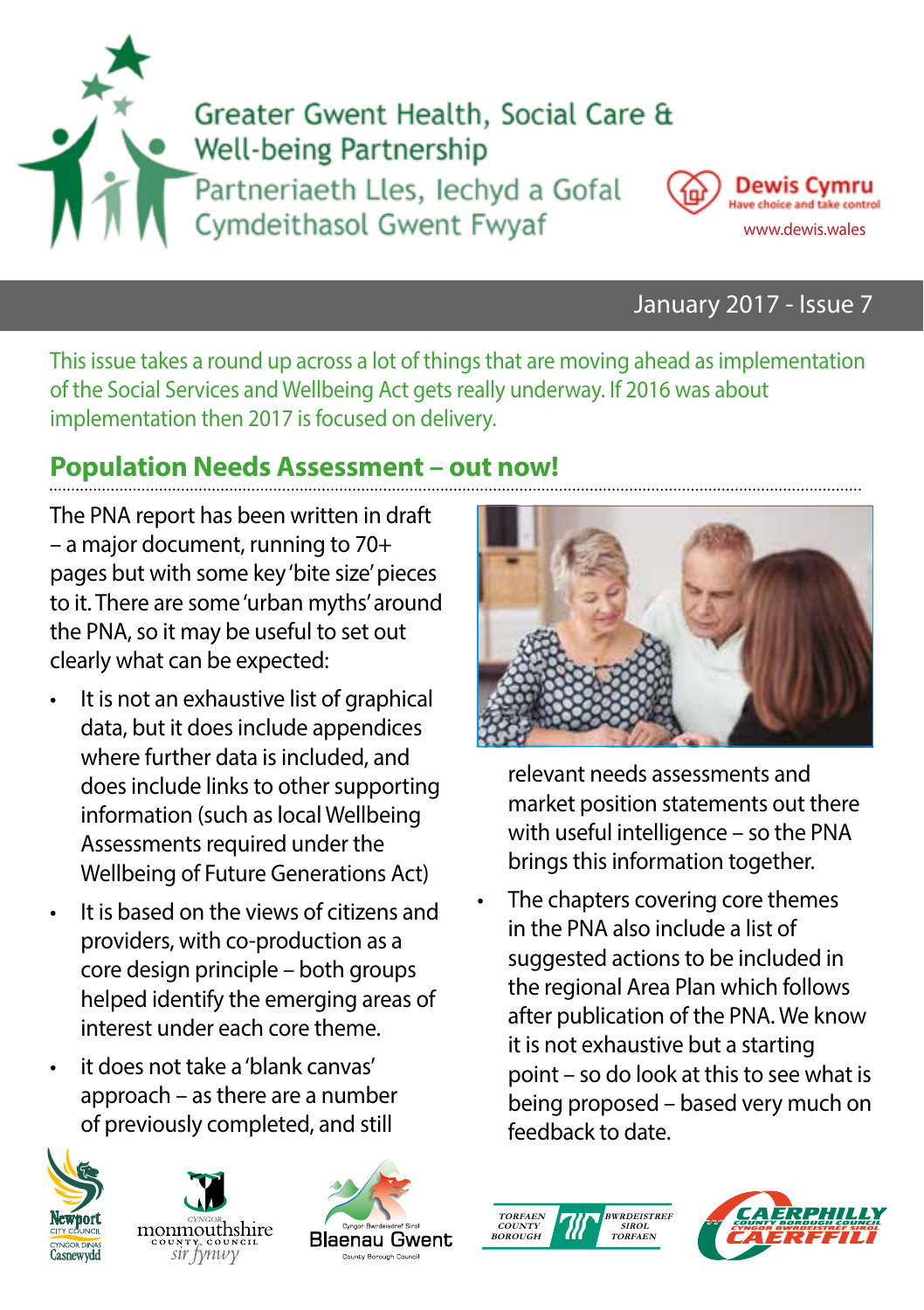



#### January 2017 - Issue 7

This issue takes a round up across a lot of things that are moving ahead as implementation of the Social Services and Wellbeing Act gets really underway. If 2016 was about implementation then 2017 is focused on delivery.

### **Population Needs Assessment – out now!**

The PNA report has been written in draft – a major document, running to 70+ pages but with some key 'bite size' pieces to it. There are some 'urban myths' around the PNA, so it may be useful to set out clearly what can be expected:

- It is not an exhaustive list of graphical data, but it does include appendices where further data is included, and does include links to other supporting information (such as local Wellbeing Assessments required under the Wellbeing of Future Generations Act)
- It is based on the views of citizens and providers, with co-production as a core design principle – both groups helped identify the emerging areas of interest under each core theme.
- it does not take a 'blank canvas' approach – as there are a number of previously completed, and still









relevant needs assessments and market position statements out there with useful intelligence – so the PNA brings this information together.

The chapters covering core themes in the PNA also include a list of suggested actions to be included in the regional Area Plan which follows after publication of the PNA. We know it is not exhaustive but a starting point – so do look at this to see what is being proposed – based very much on feedback to date.



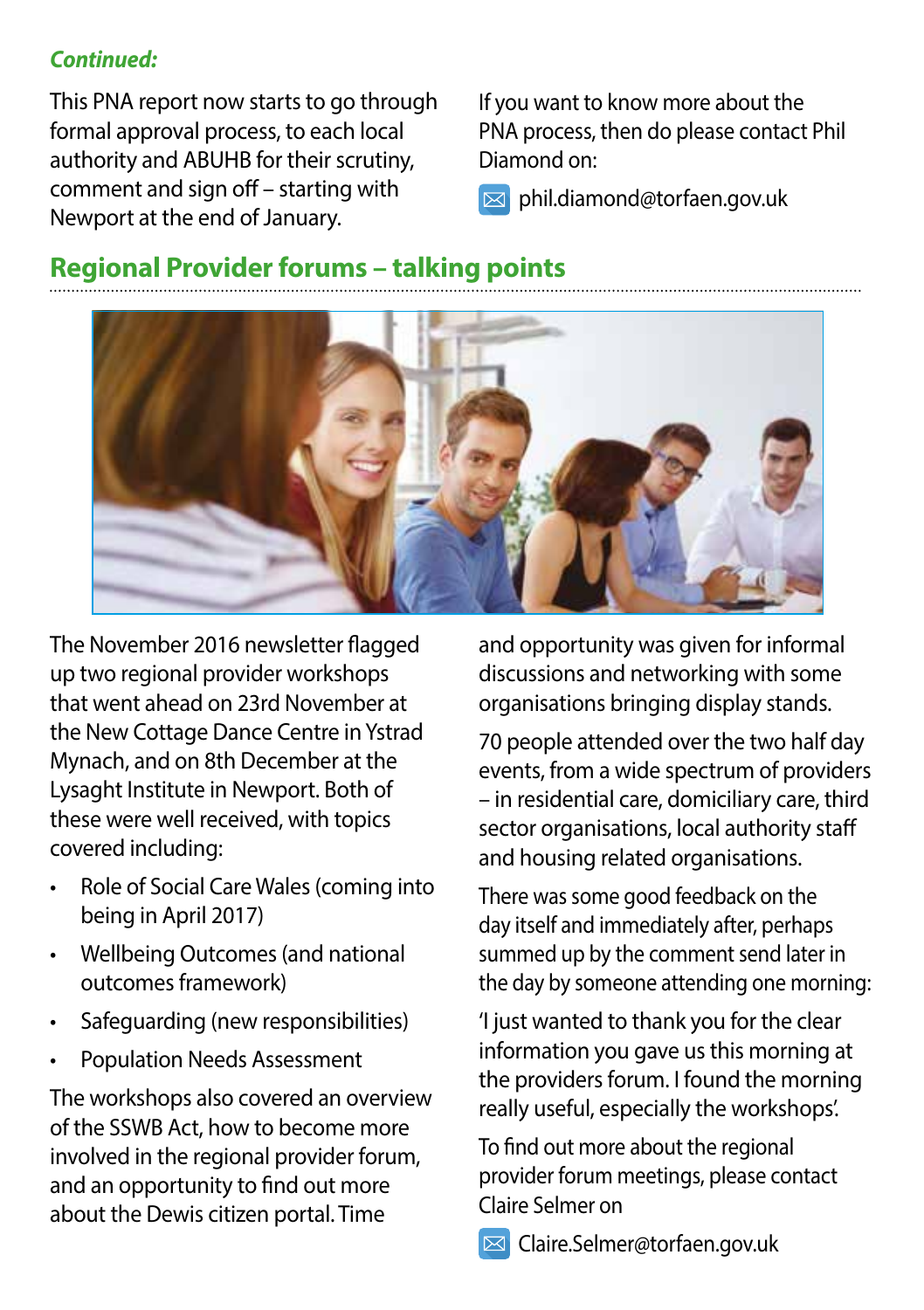#### *Continued:*

This PNA report now starts to go through formal approval process, to each local authority and ABUHB for their scrutiny, comment and sign off – starting with Newport at the end of January.

If you want to know more about the PNA process, then do please contact Phil Diamond on:

phil.diamond@torfaen.gov.uk

## **Regional Provider forums – talking points**



The November 2016 newsletter flagged up two regional provider workshops that went ahead on 23rd November at the New Cottage Dance Centre in Ystrad Mynach, and on 8th December at the Lysaght Institute in Newport. Both of these were well received, with topics covered including:

- Role of Social Care Wales (coming into being in April 2017)
- Wellbeing Outcomes (and national outcomes framework)
- Safeguarding (new responsibilities)
- Population Needs Assessment

The workshops also covered an overview of the SSWB Act, how to become more involved in the regional provider forum, and an opportunity to find out more about the Dewis citizen portal. Time

and opportunity was given for informal discussions and networking with some organisations bringing display stands.

70 people attended over the two half day events, from a wide spectrum of providers – in residential care, domiciliary care, third sector organisations, local authority staff and housing related organisations.

There was some good feedback on the day itself and immediately after, perhaps summed up by the comment send later in the day by someone attending one morning:

'I just wanted to thank you for the clear information you gave us this morning at the providers forum. I found the morning really useful, especially the workshops'.

To find out more about the regional provider forum meetings, please contact Claire Selmer on

**E** Claire.Selmer@torfaen.gov.uk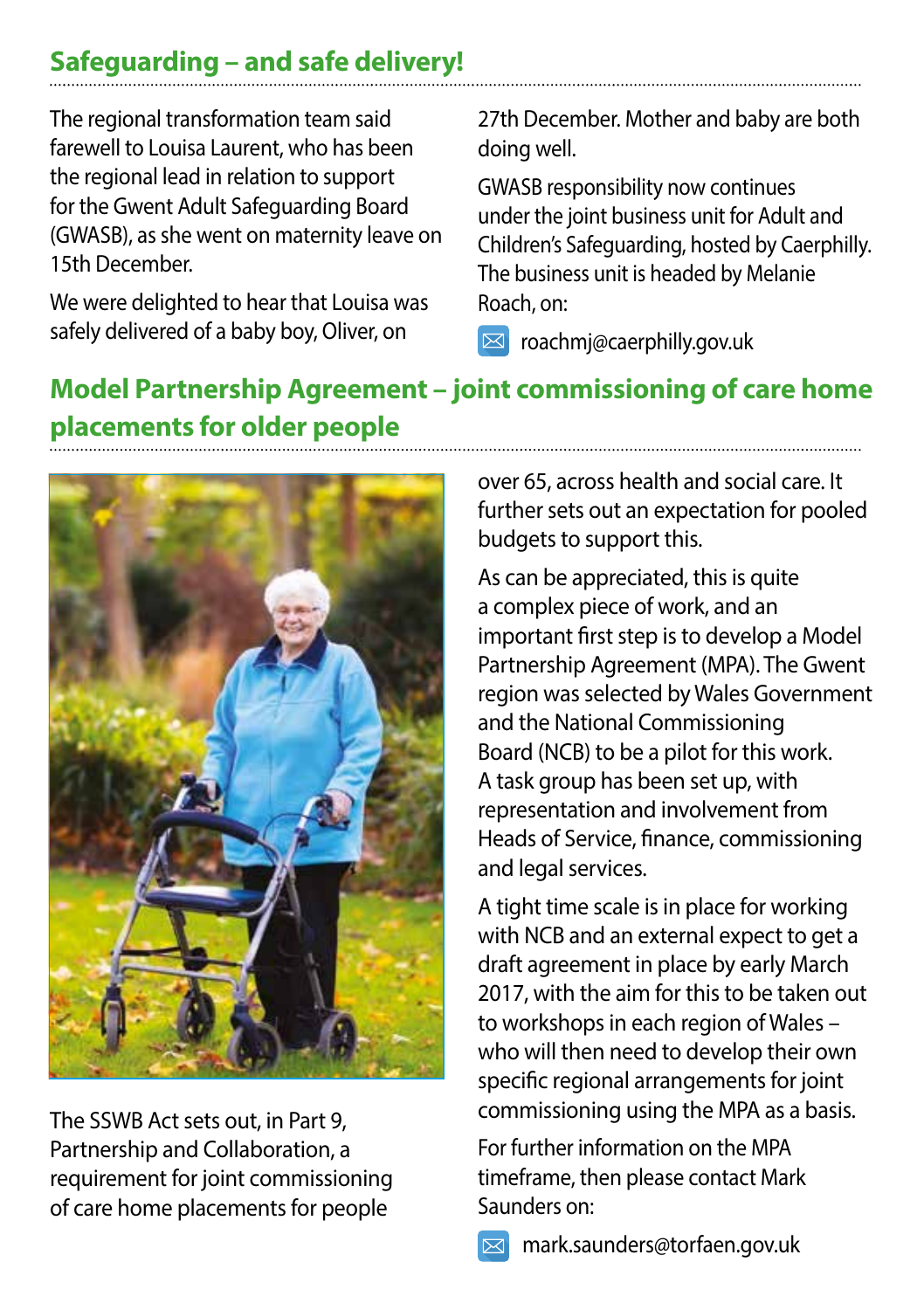## **Safeguarding – and safe delivery!**

The regional transformation team said farewell to Louisa Laurent, who has been the regional lead in relation to support for the Gwent Adult Safeguarding Board (GWASB), as she went on maternity leave on 15th December.

We were delighted to hear that Louisa was safely delivered of a baby boy, Oliver, on

27th December. Mother and baby are both doing well.

GWASB responsibility now continues under the joint business unit for Adult and Children's Safeguarding, hosted by Caerphilly. The business unit is headed by Melanie Roach, on:

 $\boxtimes$  roachmj@caerphilly.gov.uk

# **Model Partnership Agreement – joint commissioning of care home placements for older people**



The SSWB Act sets out, in Part 9, Partnership and Collaboration, a requirement for joint commissioning of care home placements for people

over 65, across health and social care. It further sets out an expectation for pooled budgets to support this.

As can be appreciated, this is quite a complex piece of work, and an important first step is to develop a Model Partnership Agreement (MPA). The Gwent region was selected by Wales Government and the National Commissioning Board (NCB) to be a pilot for this work. A task group has been set up, with representation and involvement from Heads of Service, finance, commissioning and legal services.

A tight time scale is in place for working with NCB and an external expect to get a draft agreement in place by early March 2017, with the aim for this to be taken out to workshops in each region of Wales – who will then need to develop their own specific regional arrangements for joint commissioning using the MPA as a basis.

For further information on the MPA timeframe, then please contact Mark Saunders on:

mark.saunders@torfaen.gov.uk